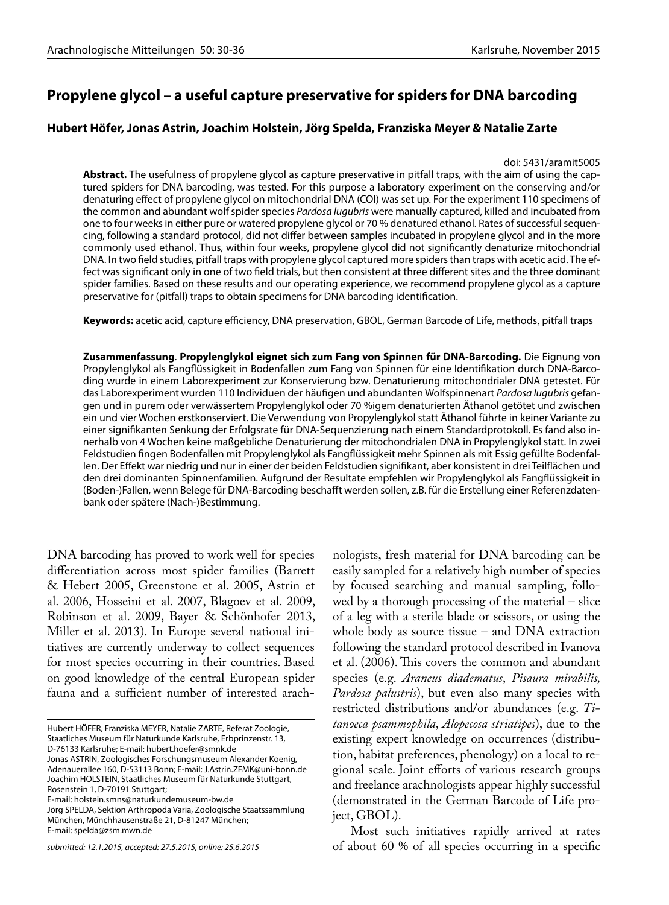# **Propylene glycol – a useful capture preservative for spiders for DNA barcoding**

## **Hubert Höfer, Jonas Astrin, Joachim Holstein, Jörg Spelda, Franziska Meyer & Natalie Zarte**

### doi: 5431/aramit5005

**Abstract.** The usefulness of propylene glycol as capture preservative in pitfall traps, with the aim of using the captured spiders for DNA barcoding, was tested. For this purpose a laboratory experiment on the conserving and/or denaturing effect of propylene glycol on mitochondrial DNA (COI) was set up. For the experiment 110 specimens of the common and abundant wolf spider species *Pardosa lugubris* were manually captured, killed and incubated from one to four weeks in either pure or watered propylene glycol or 70 % denatured ethanol. Rates of successful sequencing, following a standard protocol, did not differ between samples incubated in propylene glycol and in the more commonly used ethanol. Thus, within four weeks, propylene glycol did not significantly denaturize mitochondrial DNA. In two field studies, pitfall traps with propylene glycol captured more spiders than traps with acetic acid. The effect was significant only in one of two field trials, but then consistent at three different sites and the three dominant spider families. Based on these results and our operating experience, we recommend propylene glycol as a capture preservative for (pitfall) traps to obtain specimens for DNA barcoding identification.

**Keywords:** acetic acid, capture efficiency, DNA preservation, GBOL, German Barcode of Life, methods, pitfall traps

**Zusammenfassung**. **Propylenglykol eignet sich zum Fang von Spinnen für DNA-Barcoding.** Die Eignung von Propylenglykol als Fangflüssigkeit in Bodenfallen zum Fang von Spinnen für eine Identifikation durch DNA-Barcoding wurde in einem Laborexperiment zur Konservierung bzw. Denaturierung mitochondrialer DNA getestet. Für das Laborexperiment wurden 110 Individuen der häufigen und abundanten Wolfspinnenart *Pardosa lugubris* gefangen und in purem oder verwässertem Propylenglykol oder 70 %igem denaturierten Äthanol getötet und zwischen ein und vier Wochen erstkonserviert. Die Verwendung von Propylenglykol statt Äthanol führte in keiner Variante zu einer signifikanten Senkung der Erfolgsrate für DNA-Sequenzierung nach einem Standardprotokoll. Es fand also innerhalb von 4 Wochen keine maßgebliche Denaturierung der mitochondrialen DNA in Propylenglykol statt. In zwei Feldstudien fingen Bodenfallen mit Propylenglykol als Fangflüssigkeit mehr Spinnen als mit Essig gefüllte Bodenfallen. Der Effekt war niedrig und nur in einer der beiden Feldstudien signifikant, aber konsistent in drei Teilflächen und den drei dominanten Spinnenfamilien. Aufgrund der Resultate empfehlen wir Propylenglykol als Fangflüssigkeit in (Boden-)Fallen, wenn Belege für DNA-Barcoding beschafft werden sollen, z.B. für die Erstellung einer Referenzdatenbank oder spätere (Nach-)Bestimmung.

DNA barcoding has proved to work well for species differentiation across most spider families (Barrett & Hebert 2005, Greenstone et al. 2005, Astrin et al. 2006, Hosseini et al. 2007, Blagoev et al. 2009, Robinson et al. 2009, Bayer & Schönhofer 2013, Miller et al. 2013). In Europe several national initiatives are currently underway to collect sequences for most species occurring in their countries. Based on good knowledge of the central European spider fauna and a sufficient number of interested arach-

Jonas ASTRIN, Zoologisches Forschungsmuseum Alexander Koenig, Adenauerallee 160, D-53113 Bonn; E-mail: J.Astrin.ZFMK@uni-bonn.de Joachim HOLSTEIN, Staatliches Museum für Naturkunde Stuttgart, Rosenstein 1, D-70191 Stuttgart;

E-mail: holstein.smns@naturkundemuseum-bw.de

*submitted: 12.1.2015, accepted: 27.5.2015, online: 25.6.2015*

nologists, fresh material for DNA barcoding can be easily sampled for a relatively high number of species by focused searching and manual sampling, followed by a thorough processing of the material – slice of a leg with a sterile blade or scissors, or using the whole body as source tissue – and DNA extraction following the standard protocol described in Ivanova et al. (2006). This covers the common and abundant species (e.g. *Araneus diadematus*, *Pisaura mirabilis, Pardosa palustris*), but even also many species with restricted distributions and/or abundances (e.g. *Titanoeca psammophila*, *Alopecosa striatipes*), due to the existing expert knowledge on occurrences (distribution, habitat preferences, phenology) on a local to regional scale. Joint efforts of various research groups and freelance arachnologists appear highly successful (demonstrated in the German Barcode of Life project, GBOL).

Most such initiatives rapidly arrived at rates of about 60 % of all species occurring in a specific

Hubert HÖFER, Franziska MEYER, Natalie ZARTE, Referat Zoologie, Staatliches Museum für Naturkunde Karlsruhe, Erbprinzenstr. 13, D-76133 Karlsruhe; E-mail: hubert.hoefer@smnk.de

Jörg SPELDA, Sektion Arthropoda Varia, Zoologische Staatssammlung München, Münchhausenstraße 21, D-81247 München; E-mail: spelda@zsm.mwn.de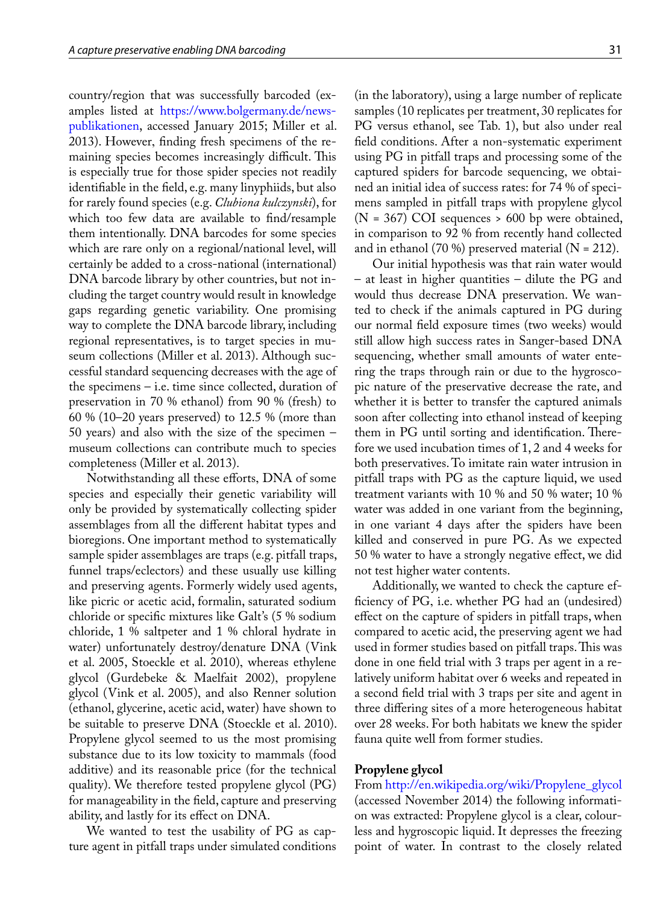country/region that was successfully barcoded (examples listed at [https://www.bolgermany.de/news](https://www.bolgermany.de/news-publikationen)[publikationen](https://www.bolgermany.de/news-publikationen), accessed January 2015; Miller et al. 2013). However, finding fresh specimens of the remaining species becomes increasingly difficult. This is especially true for those spider species not readily identifiable in the field, e.g. many linyphiids, but also for rarely found species (e.g. *Clubiona kulczynski*), for which too few data are available to find/resample them intentionally. DNA barcodes for some species which are rare only on a regional/national level, will certainly be added to a cross-national (international) DNA barcode library by other countries, but not including the target country would result in knowledge gaps regarding genetic variability. One promising way to complete the DNA barcode library, including regional representatives, is to target species in museum collections (Miller et al. 2013). Although successful standard sequencing decreases with the age of the specimens – i.e. time since collected, duration of preservation in 70 % ethanol) from 90 % (fresh) to 60 % (10–20 years preserved) to 12.5 % (more than 50 years) and also with the size of the specimen – museum collections can contribute much to species completeness (Miller et al. 2013).

Notwithstanding all these efforts, DNA of some species and especially their genetic variability will only be provided by systematically collecting spider assemblages from all the different habitat types and bioregions. One important method to systematically sample spider assemblages are traps (e.g. pitfall traps, funnel traps/eclectors) and these usually use killing and preserving agents. Formerly widely used agents, like picric or acetic acid, formalin, saturated sodium chloride or specific mixtures like Galt's (5 % sodium chloride, 1 % saltpeter and 1 % chloral hydrate in water) unfortunately destroy/denature DNA (Vink et al. 2005, Stoeckle et al. 2010), whereas ethylene glycol (Gurdebeke & Maelfait 2002), propylene glycol (Vink et al. 2005), and also Renner solution (ethanol, glycerine, acetic acid, water) have shown to be suitable to preserve DNA (Stoeckle et al. 2010). Propylene glycol seemed to us the most promising substance due to its low toxicity to mammals (food additive) and its reasonable price (for the technical quality). We therefore tested propylene glycol (PG) for manageability in the field, capture and preserving ability, and lastly for its effect on DNA.

We wanted to test the usability of PG as capture agent in pitfall traps under simulated conditions

(in the laboratory), using a large number of replicate samples (10 replicates per treatment, 30 replicates for PG versus ethanol, see Tab. 1), but also under real field conditions. After a non-systematic experiment using PG in pitfall traps and processing some of the captured spiders for barcode sequencing, we obtained an initial idea of success rates: for 74 % of specimens sampled in pitfall traps with propylene glycol  $(N = 367)$  COI sequences > 600 bp were obtained, in comparison to 92 % from recently hand collected and in ethanol (70 %) preserved material ( $N = 212$ ).

Our initial hypothesis was that rain water would – at least in higher quantities – dilute the PG and would thus decrease DNA preservation. We wanted to check if the animals captured in PG during our normal field exposure times (two weeks) would still allow high success rates in Sanger-based DNA sequencing, whether small amounts of water entering the traps through rain or due to the hygroscopic nature of the preservative decrease the rate, and whether it is better to transfer the captured animals soon after collecting into ethanol instead of keeping them in PG until sorting and identification. Therefore we used incubation times of 1, 2 and 4 weeks for both preservatives. To imitate rain water intrusion in pitfall traps with PG as the capture liquid, we used treatment variants with 10 % and 50 % water; 10 % water was added in one variant from the beginning, in one variant 4 days after the spiders have been killed and conserved in pure PG. As we expected 50 % water to have a strongly negative effect, we did not test higher water contents.

Additionally, we wanted to check the capture efficiency of PG, i.e. whether PG had an (undesired) effect on the capture of spiders in pitfall traps, when compared to acetic acid, the preserving agent we had used in former studies based on pitfall traps. This was done in one field trial with 3 traps per agent in a relatively uniform habitat over 6 weeks and repeated in a second field trial with 3 traps per site and agent in three differing sites of a more heterogeneous habitat over 28 weeks. For both habitats we knew the spider fauna quite well from former studies.

## **Propylene glycol**

From [http://en.wikipedia.org/wiki/Propylene\\_glycol](http://en.wikipedia.org/wiki/Propylene_glycol ) (accessed November 2014) the following information was extracted: Propylene glycol is a clear, colourless and hygroscopic liquid. It depresses the freezing point of water. In contrast to the closely related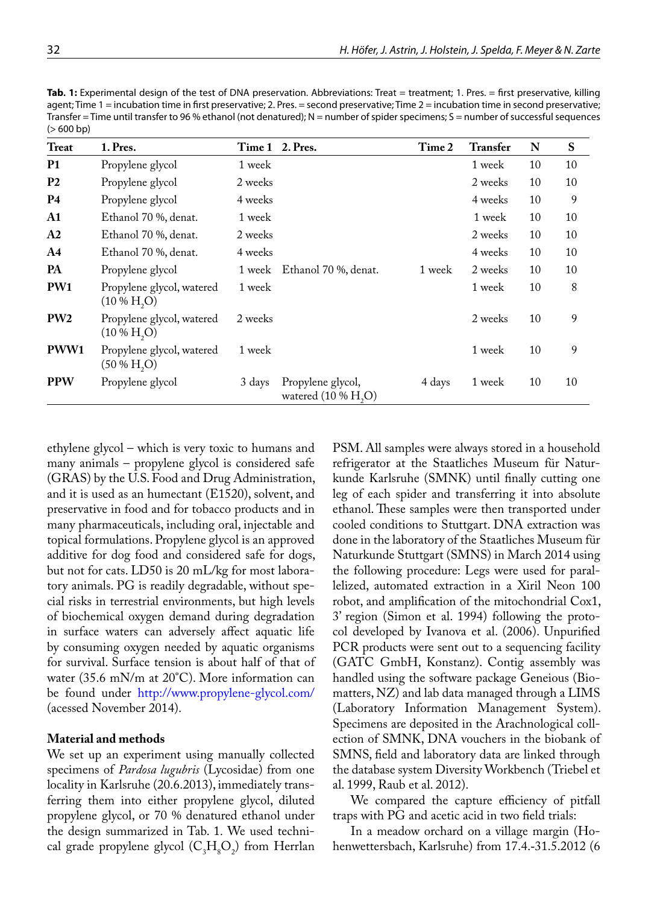Tab. 1: Experimental design of the test of DNA preservation. Abbreviations: Treat = treatment; 1. Pres. = first preservative, killing agent; Time 1 = incubation time in first preservative; 2. Pres. = second preservative; Time 2 = incubation time in second preservative; Transfer = Time until transfer to 96 % ethanol (not denatured);  $N =$  number of spider specimens;  $S =$  number of successful sequences  $(> 600 bp)$ 

| Treat         | 1. Pres.                                                  |         | Time 1 2. Pres.                            | Time 2 | <b>Transfer</b> | N  | S  |
|---------------|-----------------------------------------------------------|---------|--------------------------------------------|--------|-----------------|----|----|
| <b>P1</b>     | Propylene glycol                                          | 1 week  |                                            |        | 1 week          | 10 | 10 |
| <b>P2</b>     | Propylene glycol                                          | 2 weeks |                                            |        | 2 weeks         | 10 | 10 |
| <b>P4</b>     | Propylene glycol                                          | 4 weeks |                                            |        | 4 weeks         | 10 | 9  |
| $\mathbf{A1}$ | Ethanol 70 %, denat.                                      | 1 week  |                                            |        | 1 week          | 10 | 10 |
| A2            | Ethanol 70 %, denat.                                      | 2 weeks |                                            |        | 2 weeks         | 10 | 10 |
| A4            | Ethanol 70 %, denat.                                      | 4 weeks |                                            |        | 4 weeks         | 10 | 10 |
| PA            | Propylene glycol                                          | 1 week  | Ethanol 70 %, denat.                       | 1 week | 2 weeks         | 10 | 10 |
| PW1           | Propylene glycol, watered<br>$(10\% \text{ H}, \text{O})$ | 1 week  |                                            |        | 1 week          | 10 | 8  |
| PW2           | Propylene glycol, watered<br>$(10\% H, O)$                | 2 weeks |                                            |        | 2 weeks         | 10 | 9  |
| PWW1          | Propylene glycol, watered<br>$(50\% H, O)$                | 1 week  |                                            |        | 1 week          | 10 | 9  |
| <b>PPW</b>    | Propylene glycol                                          | 3 days  | Propylene glycol,<br>watered $(10\% H, O)$ | 4 days | 1 week          | 10 | 10 |

ethylene glycol – which is very toxic to humans and many animals – propylene glycol is considered safe (GRAS) by the U.S. Food and Drug Administration, and it is used as an humectant (E1520), solvent, and preservative in food and for tobacco products and in many pharmaceuticals, including oral, injectable and topical formulations. Propylene glycol is an approved additive for dog food and considered safe for dogs, but not for cats. LD50 is 20 mL/kg for most laboratory animals. PG is readily degradable, without special risks in terrestrial environments, but high levels of biochemical oxygen demand during degradation in surface waters can adversely affect aquatic life by consuming oxygen needed by aquatic organisms for survival. Surface tension is about half of that of water (35.6 mN/m at 20°C). More information can be found under <http://www.propylene-glycol.com/> (acessed November 2014).

## **Material and methods**

We set up an experiment using manually collected specimens of *Pardosa lugubris* (Lycosidae) from one locality in Karlsruhe (20.6.2013), immediately transferring them into either propylene glycol, diluted propylene glycol, or 70 % denatured ethanol under the design summarized in Tab. 1. We used technical grade propylene glycol  $(C_3H_8O_2)$  from Herrlan PSM. All samples were always stored in a household refrigerator at the Staatliches Museum für Naturkunde Karlsruhe (SMNK) until finally cutting one leg of each spider and transferring it into absolute ethanol. These samples were then transported under cooled conditions to Stuttgart. DNA extraction was done in the laboratory of the Staatliches Museum für Naturkunde Stuttgart (SMNS) in March 2014 using the following procedure: Legs were used for parallelized, automated extraction in a Xiril Neon 100 robot, and amplification of the mitochondrial Cox1, 3' region (Simon et al. 1994) following the protocol developed by Ivanova et al. (2006). Unpurified PCR products were sent out to a sequencing facility (GATC GmbH, Konstanz). Contig assembly was handled using the software package Geneious (Biomatters, NZ) and lab data managed through a LIMS (Laboratory Information Management System). Specimens are deposited in the Arachnological collection of SMNK, DNA vouchers in the biobank of SMNS, field and laboratory data are linked through the database system Diversity Workbench (Triebel et al. 1999, Raub et al. 2012).

We compared the capture efficiency of pitfall traps with PG and acetic acid in two field trials:

In a meadow orchard on a village margin (Hohenwettersbach, Karlsruhe) from 17.4.-31.5.2012 (6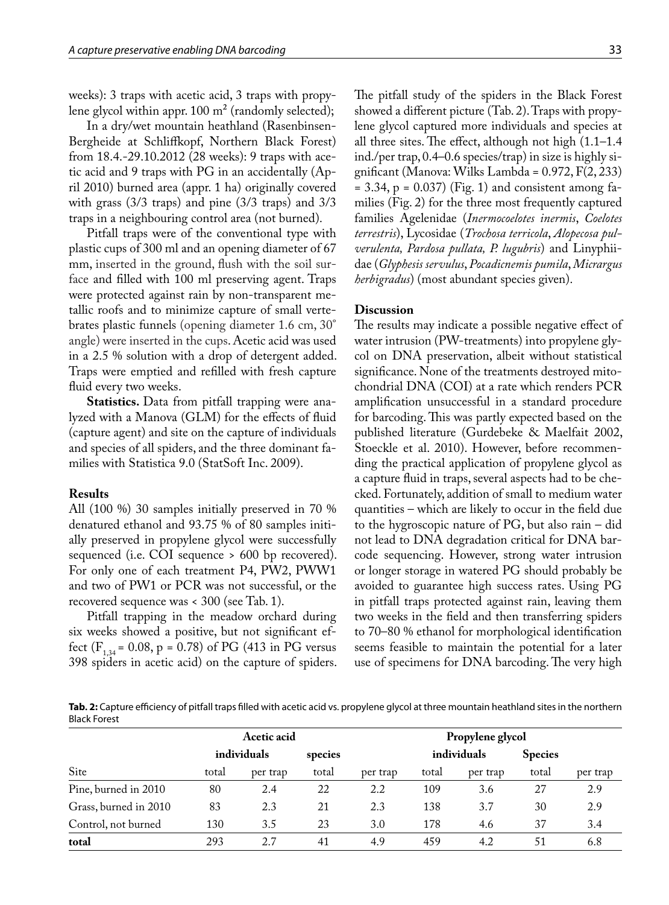weeks): 3 traps with acetic acid, 3 traps with propylene glycol within appr.  $100 \text{ m}^2$  (randomly selected);

In a dry/wet mountain heathland (Rasenbinsen-Bergheide at Schliffkopf, Northern Black Forest) from 18.4.-29.10.2012 (28 weeks): 9 traps with acetic acid and 9 traps with PG in an accidentally (April 2010) burned area (appr. 1 ha) originally covered with grass (3/3 traps) and pine (3/3 traps) and 3/3 traps in a neighbouring control area (not burned).

Pitfall traps were of the conventional type with plastic cups of 300 ml and an opening diameter of 67 mm, inserted in the ground, flush with the soil surface and filled with 100 ml preserving agent. Traps were protected against rain by non-transparent metallic roofs and to minimize capture of small vertebrates plastic funnels (opening diameter 1.6 cm, 30° angle) were inserted in the cups. Acetic acid was used in a 2.5 % solution with a drop of detergent added. Traps were emptied and refilled with fresh capture fluid every two weeks.

**Statistics.** Data from pitfall trapping were analyzed with a Manova (GLM) for the effects of fluid (capture agent) and site on the capture of individuals and species of all spiders, and the three dominant families with Statistica 9.0 (StatSoft Inc. 2009).

## **Results**

All (100 %) 30 samples initially preserved in 70 % denatured ethanol and 93.75 % of 80 samples initially preserved in propylene glycol were successfully sequenced (i.e. COI sequence > 600 bp recovered). For only one of each treatment P4, PW2, PWW1 and two of PW1 or PCR was not successful, or the recovered sequence was < 300 (see Tab. 1).

Pitfall trapping in the meadow orchard during six weeks showed a positive, but not significant effect ( $F_{1,34}$  = 0.08, p = 0.78) of PG (413 in PG versus 398 spiders in acetic acid) on the capture of spiders.

The pitfall study of the spiders in the Black Forest showed a different picture (Tab. 2). Traps with propylene glycol captured more individuals and species at all three sites. The effect, although not high (1.1–1.4 ind./per trap, 0.4–0.6 species/trap) in size is highly significant (Manova: Wilks Lambda = 0.972, F(2, 233)  $= 3.34$ ,  $p = 0.037$ ) (Fig. 1) and consistent among families (Fig. 2) for the three most frequently captured families Agelenidae (*Inermocoelotes inermis*, *Coelotes terrestris*), Lycosidae (*Trochosa terricola*, *Alopecosa pulverulenta, Pardosa pullata, P. lugubris*) and Linyphiidae (*Glyphesis servulus*, *Pocadicnemis pumila*, *Micrargus herbigradus*) (most abundant species given).

## **Discussion**

The results may indicate a possible negative effect of water intrusion (PW-treatments) into propylene glycol on DNA preservation, albeit without statistical significance. None of the treatments destroyed mitochondrial DNA (COI) at a rate which renders PCR amplification unsuccessful in a standard procedure for barcoding. This was partly expected based on the published literature (Gurdebeke & Maelfait 2002, Stoeckle et al. 2010). However, before recommending the practical application of propylene glycol as a capture fluid in traps, several aspects had to be checked. Fortunately, addition of small to medium water quantities – which are likely to occur in the field due to the hygroscopic nature of PG, but also rain – did not lead to DNA degradation critical for DNA barcode sequencing. However, strong water intrusion or longer storage in watered PG should probably be avoided to guarantee high success rates. Using PG in pitfall traps protected against rain, leaving them two weeks in the field and then transferring spiders to 70–80 % ethanol for morphological identification seems feasible to maintain the potential for a later use of specimens for DNA barcoding. The very high

**Tab. 2:** Capture efficiency of pitfall traps filled with acetic acid vs. propylene glycol at three mountain heathland sites in the northern Black Forest

|                       | <b>Acetic acid</b> |          |         |          |             | Propylene glycol |                |          |
|-----------------------|--------------------|----------|---------|----------|-------------|------------------|----------------|----------|
|                       | individuals        |          | species |          | individuals |                  | <b>Species</b> |          |
| Site                  | total              | per trap | total   | per trap | total       | per trap         | total          | per trap |
| Pine, burned in 2010  | 80                 | 2.4      | 22      | 2.2      | 109         | 3.6              | 27             | 2.9      |
| Grass, burned in 2010 | 83                 | 2.3      | 21      | 2.3      | 138         | 3.7              | 30             | 2.9      |
| Control, not burned   | 130                | 3.5      | 23      | 3.0      | 178         | 4.6              | 37             | 3.4      |
| total                 | 293                | 2.7      | 41      | 4.9      | 459         | 4.2              | 51             | 6.8      |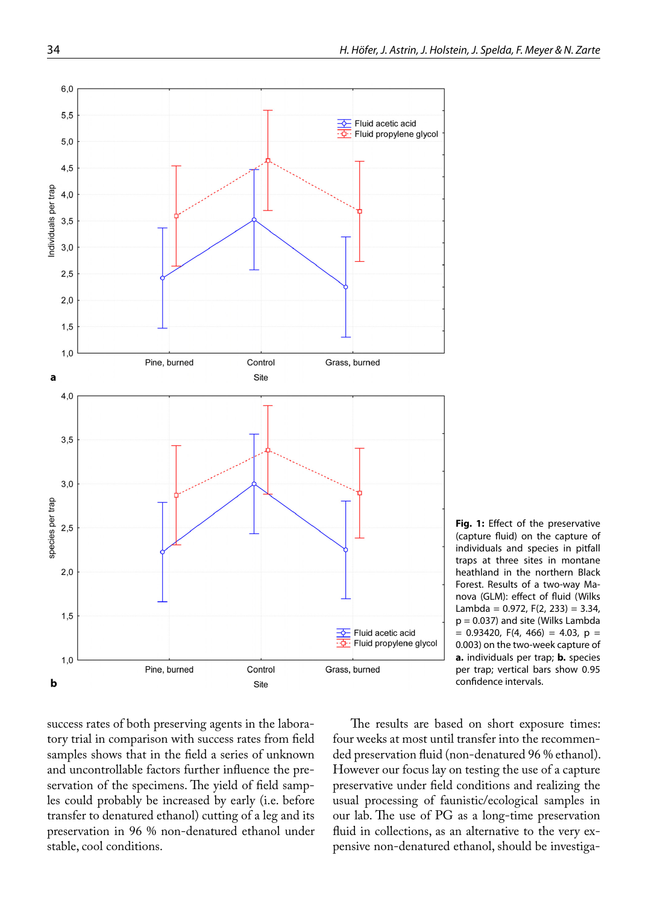

**Fig. 1:** Effect of the preservative (capture fluid) on the capture of individuals and species in pitfall traps at three sites in montane heathland in the northern Black Forest. Results of a two-way Manova (GLM): effect of fluid (Wilks Lambda =  $0.972$ , F(2, 233) = 3.34, p = 0.037) and site (Wilks Lambda  $= 0.93420$ , F(4, 466) = 4.03, p = 0.003) on the two-week capture of **a.** individuals per trap; **b.** species per trap; vertical bars show 0.95 confidence intervals.

success rates of both preserving agents in the laboratory trial in comparison with success rates from field samples shows that in the field a series of unknown and uncontrollable factors further influence the preservation of the specimens. The yield of field samples could probably be increased by early (i.e. before transfer to denatured ethanol) cutting of a leg and its preservation in 96 % non-denatured ethanol under stable, cool conditions.

The results are based on short exposure times: four weeks at most until transfer into the recommended preservation fluid (non-denatured 96 % ethanol). However our focus lay on testing the use of a capture preservative under field conditions and realizing the usual processing of faunistic/ecological samples in our lab. The use of PG as a long-time preservation fluid in collections, as an alternative to the very expensive non-denatured ethanol, should be investiga-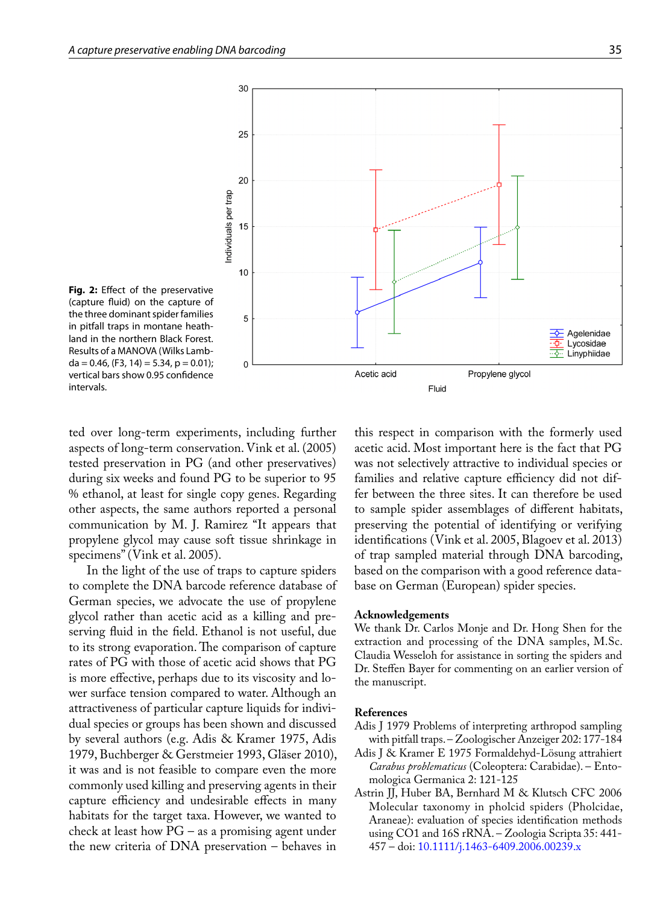

Fig. 2: Effect of the preservative (capture fluid) on the capture of the three dominant spider families in pitfall traps in montane heathland in the northern Black Forest. Results of a MANOVA (Wilks Lamb $da = 0.46$ , (F3, 14) = 5.34, p = 0.01); vertical bars show 0.95 confidence intervals.

ted over long-term experiments, including further aspects of long-term conservation. Vink et al. (2005) tested preservation in PG (and other preservatives) during six weeks and found PG to be superior to 95 % ethanol, at least for single copy genes. Regarding other aspects, the same authors reported a personal communication by M. J. Ramirez "It appears that propylene glycol may cause soft tissue shrinkage in specimens" (Vink et al. 2005).

In the light of the use of traps to capture spiders to complete the DNA barcode reference database of German species, we advocate the use of propylene glycol rather than acetic acid as a killing and preserving fluid in the field. Ethanol is not useful, due to its strong evaporation. The comparison of capture rates of PG with those of acetic acid shows that PG is more effective, perhaps due to its viscosity and lower surface tension compared to water. Although an attractiveness of particular capture liquids for individual species or groups has been shown and discussed by several authors (e.g. Adis & Kramer 1975, Adis 1979, Buchberger & Gerstmeier 1993, Gläser 2010), it was and is not feasible to compare even the more commonly used killing and preserving agents in their capture efficiency and undesirable effects in many habitats for the target taxa. However, we wanted to check at least how PG – as a promising agent under the new criteria of DNA preservation – behaves in

this respect in comparison with the formerly used acetic acid. Most important here is the fact that PG was not selectively attractive to individual species or families and relative capture efficiency did not differ between the three sites. It can therefore be used to sample spider assemblages of different habitats, preserving the potential of identifying or verifying identifications (Vink et al. 2005, Blagoev et al. 2013) of trap sampled material through DNA barcoding, based on the comparison with a good reference database on German (European) spider species.

#### **Acknowledgements**

We thank Dr. Carlos Monje and Dr. Hong Shen for the extraction and processing of the DNA samples, M.Sc. Claudia Wesseloh for assistance in sorting the spiders and Dr. Steffen Bayer for commenting on an earlier version of the manuscript.

#### **References**

- Adis J 1979 Problems of interpreting arthropod sampling with pitfall traps. – Zoologischer Anzeiger 202: 177-184
- Adis J & Kramer E 1975 Formaldehyd-Lösung attrahiert *Carabus problematicus* (Coleoptera: Carabidae). – Entomologica Germanica 2: 121-125
- Astrin JJ, Huber BA, Bernhard M & Klutsch CFC 2006 Molecular taxonomy in pholcid spiders (Pholcidae, Araneae): evaluation of species identification methods using CO1 and 16S rRNA. – Zoologia Scripta 35: 441- 457 – doi: [10.1111/j.1463-6409.2006.00239.x](http://dx.doi.org/10.1111/j.1463-6409.2006.00239.x)